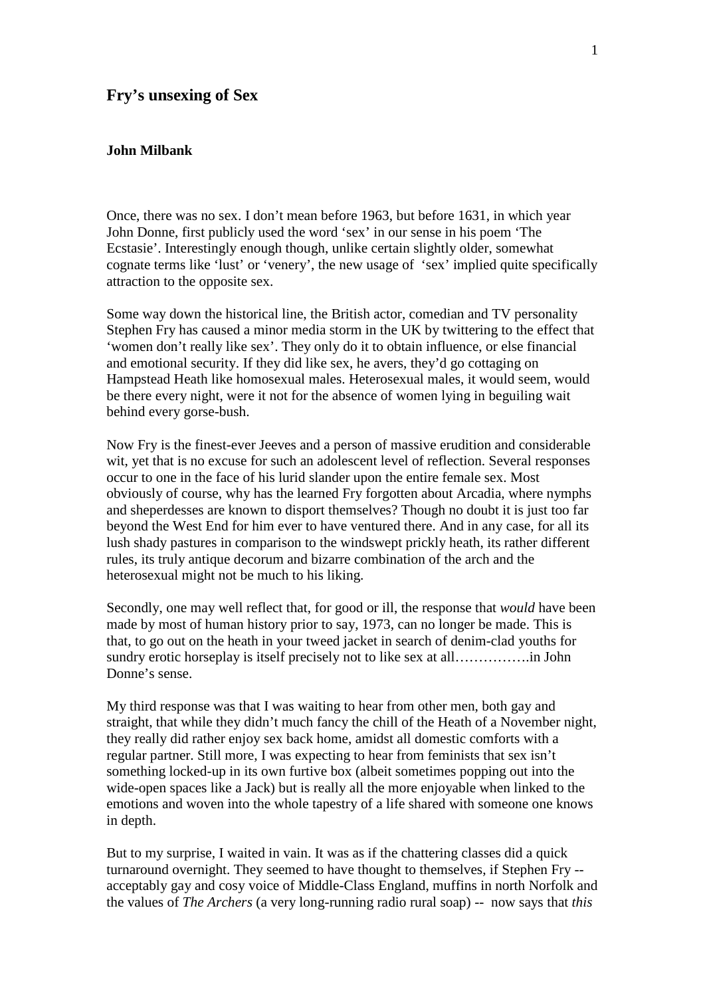## **Fry's unsexing of Sex**

## **John Milbank**

Once, there was no sex. I don't mean before 1963, but before 1631, in which year John Donne, first publicly used the word 'sex' in our sense in his poem 'The Ecstasie'. Interestingly enough though, unlike certain slightly older, somewhat cognate terms like 'lust' or 'venery', the new usage of 'sex' implied quite specifically attraction to the opposite sex.

Some way down the historical line, the British actor, comedian and TV personality Stephen Fry has caused a minor media storm in the UK by twittering to the effect that 'women don't really like sex'. They only do it to obtain influence, or else financial and emotional security. If they did like sex, he avers, they'd go cottaging on Hampstead Heath like homosexual males. Heterosexual males, it would seem, would be there every night, were it not for the absence of women lying in beguiling wait behind every gorse-bush.

Now Fry is the finest-ever Jeeves and a person of massive erudition and considerable wit, yet that is no excuse for such an adolescent level of reflection. Several responses occur to one in the face of his lurid slander upon the entire female sex. Most obviously of course, why has the learned Fry forgotten about Arcadia, where nymphs and sheperdesses are known to disport themselves? Though no doubt it is just too far beyond the West End for him ever to have ventured there. And in any case, for all its lush shady pastures in comparison to the windswept prickly heath, its rather different rules, its truly antique decorum and bizarre combination of the arch and the heterosexual might not be much to his liking.

Secondly, one may well reflect that, for good or ill, the response that *would* have been made by most of human history prior to say, 1973, can no longer be made. This is that, to go out on the heath in your tweed jacket in search of denim-clad youths for sundry erotic horseplay is itself precisely not to like sex at all…………….in John Donne's sense.

My third response was that I was waiting to hear from other men, both gay and straight, that while they didn't much fancy the chill of the Heath of a November night, they really did rather enjoy sex back home, amidst all domestic comforts with a regular partner. Still more, I was expecting to hear from feminists that sex isn't something locked-up in its own furtive box (albeit sometimes popping out into the wide-open spaces like a Jack) but is really all the more enjoyable when linked to the emotions and woven into the whole tapestry of a life shared with someone one knows in depth.

But to my surprise, I waited in vain. It was as if the chattering classes did a quick turnaround overnight. They seemed to have thought to themselves, if Stephen Fry - acceptably gay and cosy voice of Middle-Class England, muffins in north Norfolk and the values of *The Archers* (a very long-running radio rural soap) -- now says that *this*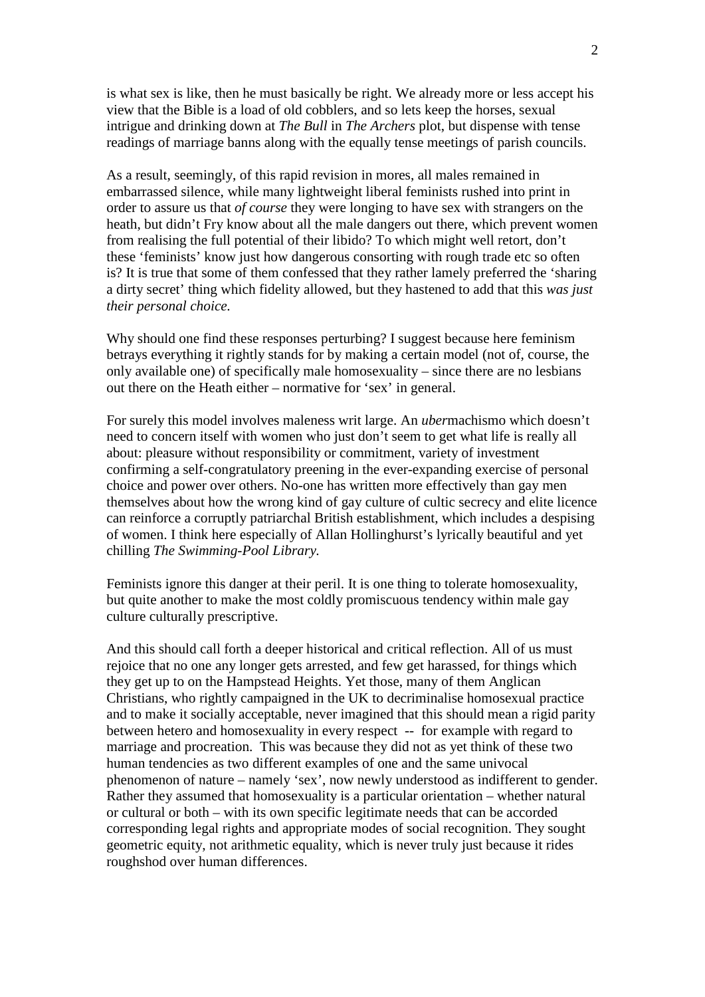is what sex is like, then he must basically be right. We already more or less accept his view that the Bible is a load of old cobblers, and so lets keep the horses, sexual intrigue and drinking down at *The Bull* in *The Archers* plot, but dispense with tense readings of marriage banns along with the equally tense meetings of parish councils.

As a result, seemingly, of this rapid revision in mores, all males remained in embarrassed silence, while many lightweight liberal feminists rushed into print in order to assure us that *of course* they were longing to have sex with strangers on the heath, but didn't Fry know about all the male dangers out there, which prevent women from realising the full potential of their libido? To which might well retort, don't these 'feminists' know just how dangerous consorting with rough trade etc so often is? It is true that some of them confessed that they rather lamely preferred the 'sharing a dirty secret' thing which fidelity allowed, but they hastened to add that this *was just their personal choice.*

Why should one find these responses perturbing? I suggest because here feminism betrays everything it rightly stands for by making a certain model (not of, course, the only available one) of specifically male homosexuality – since there are no lesbians out there on the Heath either – normative for 'sex' in general.

For surely this model involves maleness writ large. An *uber*machismo which doesn't need to concern itself with women who just don't seem to get what life is really all about: pleasure without responsibility or commitment, variety of investment confirming a self-congratulatory preening in the ever-expanding exercise of personal choice and power over others. No-one has written more effectively than gay men themselves about how the wrong kind of gay culture of cultic secrecy and elite licence can reinforce a corruptly patriarchal British establishment, which includes a despising of women. I think here especially of Allan Hollinghurst's lyrically beautiful and yet chilling *The Swimming-Pool Library.* 

Feminists ignore this danger at their peril. It is one thing to tolerate homosexuality, but quite another to make the most coldly promiscuous tendency within male gay culture culturally prescriptive.

And this should call forth a deeper historical and critical reflection. All of us must rejoice that no one any longer gets arrested, and few get harassed, for things which they get up to on the Hampstead Heights. Yet those, many of them Anglican Christians, who rightly campaigned in the UK to decriminalise homosexual practice and to make it socially acceptable, never imagined that this should mean a rigid parity between hetero and homosexuality in every respect -- for example with regard to marriage and procreation. This was because they did not as yet think of these two human tendencies as two different examples of one and the same univocal phenomenon of nature – namely 'sex', now newly understood as indifferent to gender. Rather they assumed that homosexuality is a particular orientation – whether natural or cultural or both – with its own specific legitimate needs that can be accorded corresponding legal rights and appropriate modes of social recognition. They sought geometric equity, not arithmetic equality, which is never truly just because it rides roughshod over human differences.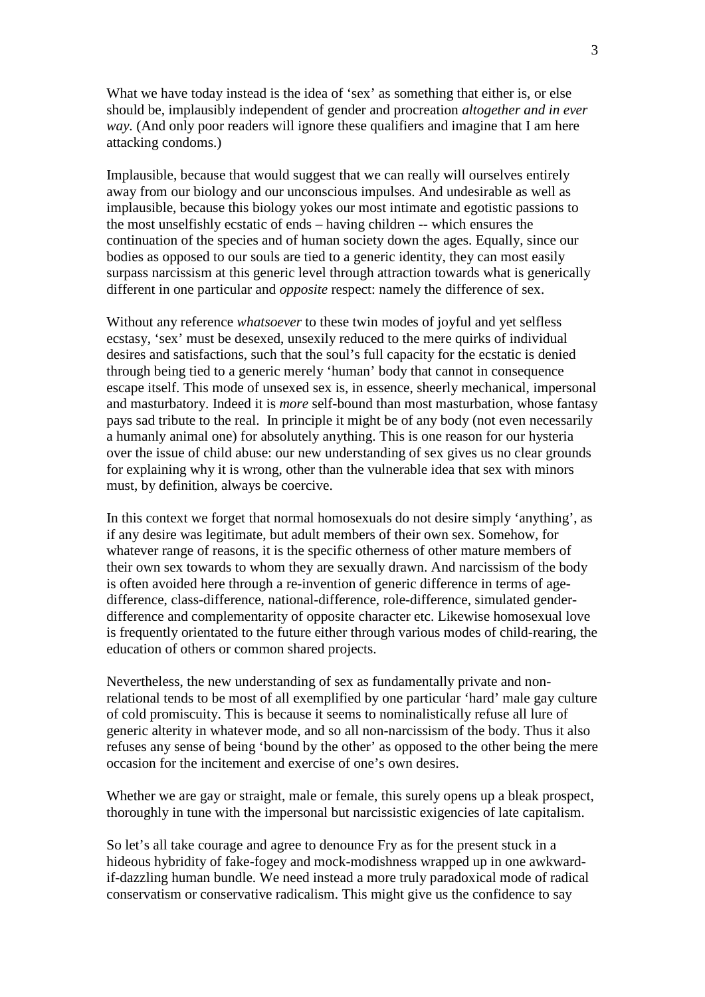What we have today instead is the idea of 'sex' as something that either is, or else should be, implausibly independent of gender and procreation *altogether and in ever way.* (And only poor readers will ignore these qualifiers and imagine that I am here attacking condoms.)

Implausible, because that would suggest that we can really will ourselves entirely away from our biology and our unconscious impulses. And undesirable as well as implausible, because this biology yokes our most intimate and egotistic passions to the most unselfishly ecstatic of ends – having children -- which ensures the continuation of the species and of human society down the ages. Equally, since our bodies as opposed to our souls are tied to a generic identity, they can most easily surpass narcissism at this generic level through attraction towards what is generically different in one particular and *opposite* respect: namely the difference of sex.

Without any reference *whatsoever* to these twin modes of joyful and yet selfless ecstasy, 'sex' must be desexed, unsexily reduced to the mere quirks of individual desires and satisfactions, such that the soul's full capacity for the ecstatic is denied through being tied to a generic merely 'human' body that cannot in consequence escape itself. This mode of unsexed sex is, in essence, sheerly mechanical, impersonal and masturbatory. Indeed it is *more* self-bound than most masturbation, whose fantasy pays sad tribute to the real. In principle it might be of any body (not even necessarily a humanly animal one) for absolutely anything. This is one reason for our hysteria over the issue of child abuse: our new understanding of sex gives us no clear grounds for explaining why it is wrong, other than the vulnerable idea that sex with minors must, by definition, always be coercive.

In this context we forget that normal homosexuals do not desire simply 'anything', as if any desire was legitimate, but adult members of their own sex. Somehow, for whatever range of reasons, it is the specific otherness of other mature members of their own sex towards to whom they are sexually drawn. And narcissism of the body is often avoided here through a re-invention of generic difference in terms of agedifference, class-difference, national-difference, role-difference, simulated genderdifference and complementarity of opposite character etc. Likewise homosexual love is frequently orientated to the future either through various modes of child-rearing, the education of others or common shared projects.

Nevertheless, the new understanding of sex as fundamentally private and nonrelational tends to be most of all exemplified by one particular 'hard' male gay culture of cold promiscuity. This is because it seems to nominalistically refuse all lure of generic alterity in whatever mode, and so all non-narcissism of the body. Thus it also refuses any sense of being 'bound by the other' as opposed to the other being the mere occasion for the incitement and exercise of one's own desires.

Whether we are gay or straight, male or female, this surely opens up a bleak prospect, thoroughly in tune with the impersonal but narcissistic exigencies of late capitalism.

So let's all take courage and agree to denounce Fry as for the present stuck in a hideous hybridity of fake-fogey and mock-modishness wrapped up in one awkwardif-dazzling human bundle. We need instead a more truly paradoxical mode of radical conservatism or conservative radicalism. This might give us the confidence to say